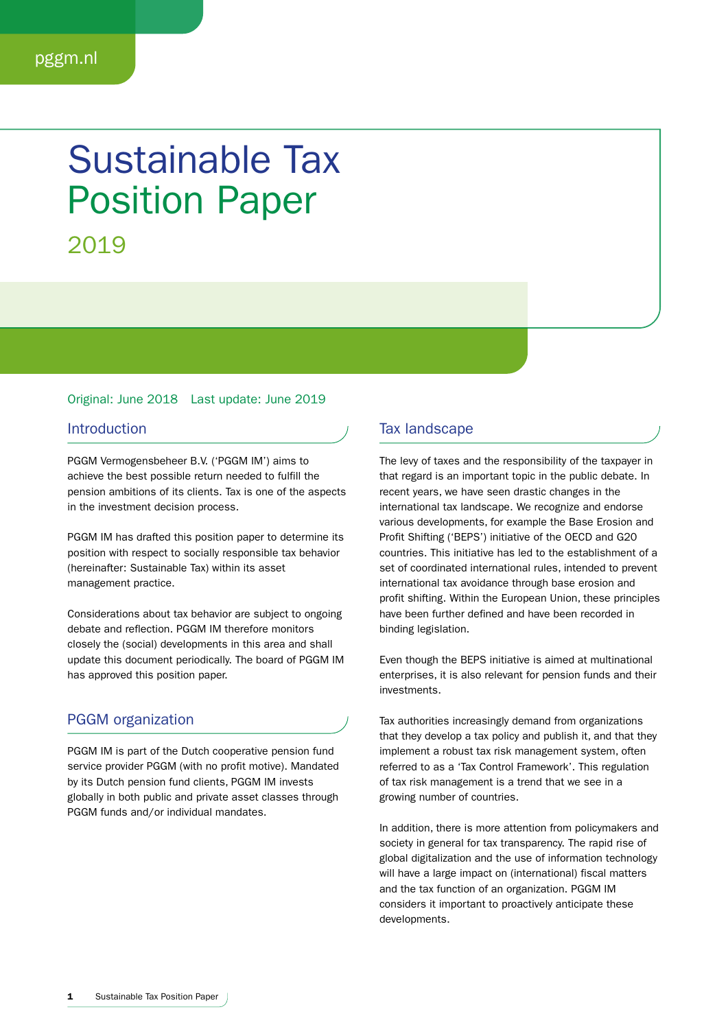# Sustainable Tax Position Paper

2019

## Original: June 2018 Last update: June 2019

### Introduction

PGGM Vermogensbeheer B.V. ('PGGM IM') aims to achieve the best possible return needed to fulfill the pension ambitions of its clients. Tax is one of the aspects in the investment decision process.

PGGM IM has drafted this position paper to determine its position with respect to socially responsible tax behavior (hereinafter: Sustainable Tax) within its asset management practice.

Considerations about tax behavior are subject to ongoing debate and reflection. PGGM IM therefore monitors closely the (social) developments in this area and shall update this document periodically. The board of PGGM IM has approved this position paper.

# PGGM organization

PGGM IM is part of the Dutch cooperative pension fund service provider PGGM (with no profit motive). Mandated by its Dutch pension fund clients, PGGM IM invests globally in both public and private asset classes through PGGM funds and/or individual mandates.

# Tax landscape

The levy of taxes and the responsibility of the taxpayer in that regard is an important topic in the public debate. In recent years, we have seen drastic changes in the international tax landscape. We recognize and endorse various developments, for example the Base Erosion and Profit Shifting ('BEPS') initiative of the OECD and G20 countries. This initiative has led to the establishment of a set of coordinated international rules, intended to prevent international tax avoidance through base erosion and profit shifting. Within the European Union, these principles have been further defined and have been recorded in binding legislation.

Even though the BEPS initiative is aimed at multinational enterprises, it is also relevant for pension funds and their investments.

Tax authorities increasingly demand from organizations that they develop a tax policy and publish it, and that they implement a robust tax risk management system, often referred to as a 'Tax Control Framework'. This regulation of tax risk management is a trend that we see in a growing number of countries.

In addition, there is more attention from policymakers and society in general for tax transparency. The rapid rise of global digitalization and the use of information technology will have a large impact on (international) fiscal matters and the tax function of an organization. PGGM IM considers it important to proactively anticipate these developments.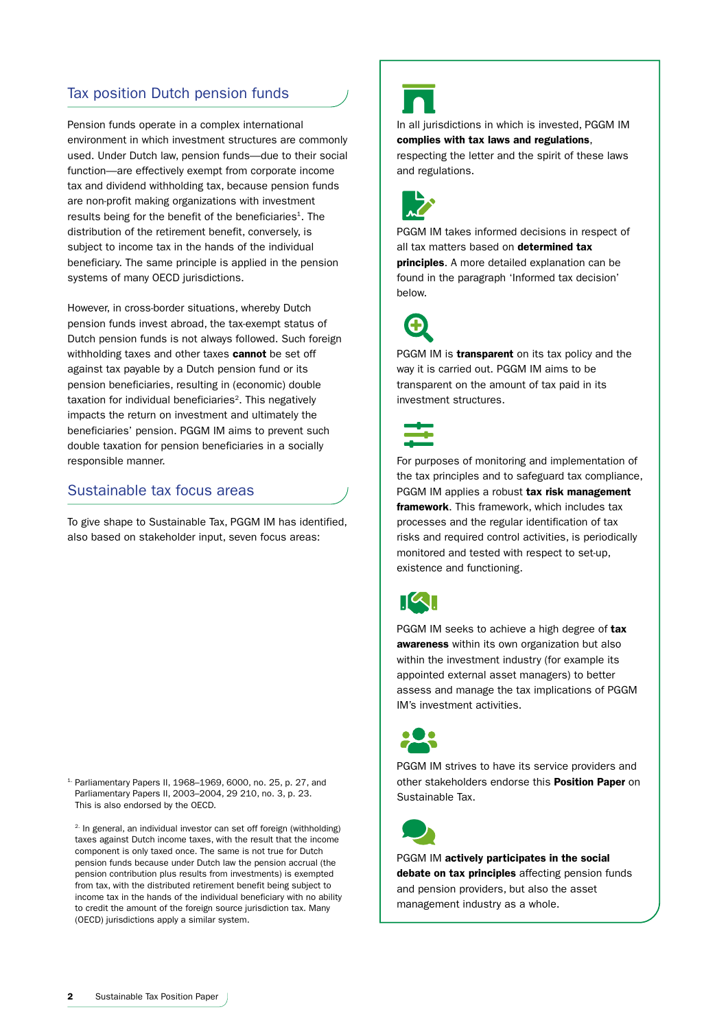# Tax position Dutch pension funds

Pension funds operate in a complex international environment in which investment structures are commonly used. Under Dutch law, pension funds—due to their social function—are effectively exempt from corporate income tax and dividend withholding tax, because pension funds are non-profit making organizations with investment results being for the benefit of the beneficiaries<sup>1</sup>. The distribution of the retirement benefit, conversely, is subject to income tax in the hands of the individual beneficiary. The same principle is applied in the pension systems of many OECD jurisdictions.

However, in cross-border situations, whereby Dutch pension funds invest abroad, the tax-exempt status of Dutch pension funds is not always followed. Such foreign withholding taxes and other taxes cannot be set off against tax payable by a Dutch pension fund or its pension beneficiaries, resulting in (economic) double taxation for individual beneficiaries<sup>2</sup>. This negatively impacts the return on investment and ultimately the beneficiaries' pension. PGGM IM aims to prevent such double taxation for pension beneficiaries in a socially responsible manner.

# Sustainable tax focus areas

To give shape to Sustainable Tax, PGGM IM has identified, also based on stakeholder input, seven focus areas:

1. Parliamentary Papers II, 1968–1969, 6000, no. 25, p. 27, and Parliamentary Papers II, 2003–2004, 29 210, no. 3, p. 23. This is also endorsed by the OECD.

<sup>2.</sup> In general, an individual investor can set off foreign (withholding) taxes against Dutch income taxes, with the result that the income component is only taxed once. The same is not true for Dutch pension funds because under Dutch law the pension accrual (the pension contribution plus results from investments) is exempted from tax, with the distributed retirement benefit being subject to income tax in the hands of the individual beneficiary with no ability to credit the amount of the foreign source jurisdiction tax. Many (OECD) jurisdictions apply a similar system.



In all jurisdictions in which is invested, PGGM IM complies with tax laws and regulations, respecting the letter and the spirit of these laws and regulations.



PGGM IM takes informed decisions in respect of all tax matters based on determined tax **principles.** A more detailed explanation can be found in the paragraph 'Informed tax decision' below.



PGGM IM is **transparent** on its tax policy and the way it is carried out. PGGM IM aims to be transparent on the amount of tax paid in its investment structures.



For purposes of monitoring and implementation of the tax principles and to safeguard tax compliance, PGGM IM applies a robust tax risk management **framework.** This framework, which includes tax processes and the regular identification of tax risks and required control activities, is periodically monitored and tested with respect to set-up, existence and functioning.



PGGM IM seeks to achieve a high degree of tax awareness within its own organization but also within the investment industry (for example its appointed external asset managers) to better assess and manage the tax implications of PGGM IM's investment activities.



PGGM IM strives to have its service providers and other stakeholders endorse this Position Paper on Sustainable Tax.



PGGM IM actively participates in the social debate on tax principles affecting pension funds and pension providers, but also the asset management industry as a whole.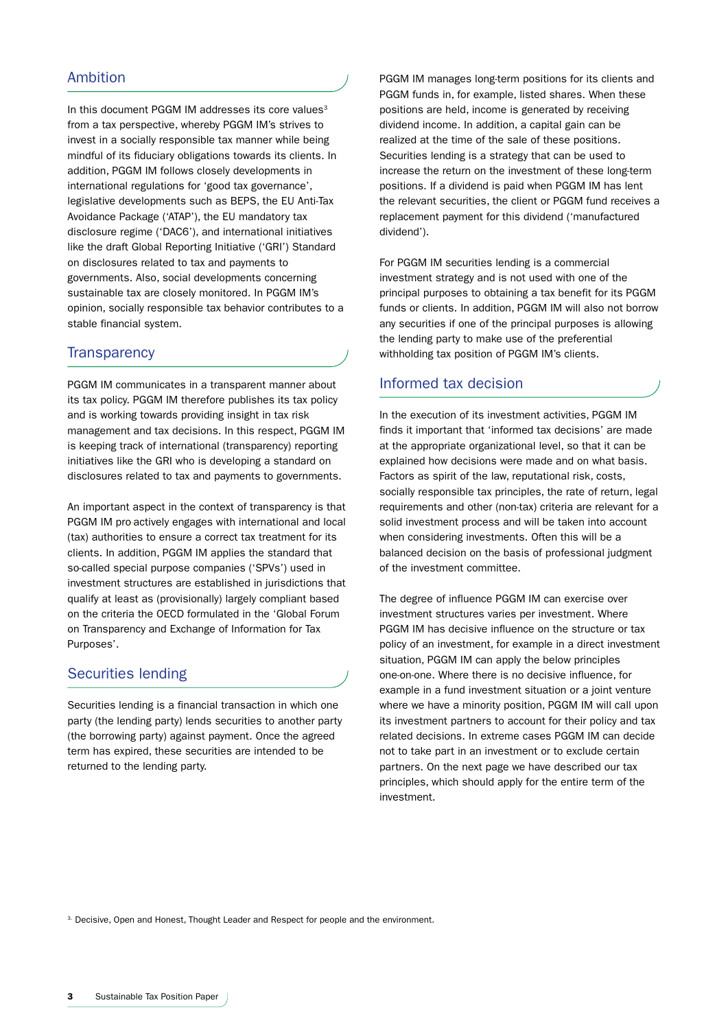# Ambition

In this document PGGM IM addresses its core values<sup>3</sup> from a tax perspective, whereby PGGM IM's strives to invest in a socially responsible tax manner while being mindful of its fiduciary obligations towards its clients. In addition, PGGM IM follows closely developments in international regulations for 'good tax governance', legislative developments such as BEPS, the EU Anti-Tax Avoidance Package ('ATAP'), the EU mandatory tax disclosure regime ('DAC6'), and international initiatives like the draft Global Reporting Initiative ('GRI') Standard on disclosures related to tax and payments to governments. Also, social developments concerning sustainable tax are closely monitored. In PGGM IM's opinion, socially responsible tax behavior contributes to a stable financial system.

# **Transparency**

PGGM IM communicates in a transparent manner about its tax policy. PGGM IM therefore publishes its tax policy and is working towards providing insight in tax risk management and tax decisions. In this respect, PGGM IM is keeping track of international (transparency) reporting initiatives like the GRI who is developing a standard on disclosures related to tax and payments to governments.

An important aspect in the context of transparency is that PGGM IM pro-actively engages with international and local (tax) authorities to ensure a correct tax treatment for its clients. In addition, PGGM IM applies the standard that so-called special purpose companies ('SPVs') used in investment structures are established in jurisdictions that qualify at least as (provisionally) largely compliant based on the criteria the OECD formulated in the 'Global Forum on Transparency and Exchange of Information for Tax Purposes'.

# Securities lending

Securities lending is a financial transaction in which one party (the lending party) lends securities to another party (the borrowing party) against payment. Once the agreed term has expired, these securities are intended to be returned to the lending party.

PGGM IM manages long-term positions for its clients and PGGM funds in, for example, listed shares. When these positions are held, income is generated by receiving dividend income. In addition, a capital gain can be realized at the time of the sale of these positions. Securities lending is a strategy that can be used to increase the return on the investment of these long-term positions. If a dividend is paid when PGGM IM has lent the relevant securities, the client or PGGM fund receives a replacement payment for this dividend ('manufactured dividend').

For PGGM IM securities lending is a commercial investment strategy and is not used with one of the principal purposes to obtaining a tax benefit for its PGGM funds or clients. In addition, PGGM IM will also not borrow any securities if one of the principal purposes is allowing the lending party to make use of the preferential withholding tax position of PGGM IM's clients.

# Informed tax decision

In the execution of its investment activities, PGGM IM finds it important that 'informed tax decisions' are made at the appropriate organizational level, so that it can be explained how decisions were made and on what basis. Factors as spirit of the law, reputational risk, costs, socially responsible tax principles, the rate of return, legal requirements and other (non-tax) criteria are relevant for a solid investment process and will be taken into account when considering investments. Often this will be a balanced decision on the basis of professional judgment of the investment committee.

The degree of influence PGGM IM can exercise over investment structures varies per investment. Where PGGM IM has decisive influence on the structure or tax policy of an investment, for example in a direct investment situation, PGGM IM can apply the below principles one-on-one. Where there is no decisive influence, for example in a fund investment situation or a joint venture where we have a minority position, PGGM IM will call upon its investment partners to account for their policy and tax related decisions. In extreme cases PGGM IM can decide not to take part in an investment or to exclude certain partners. On the next page we have described our tax principles, which should apply for the entire term of the investment.

<sup>3.</sup> Decisive, Open and Honest, Thought Leader and Respect for people and the environment.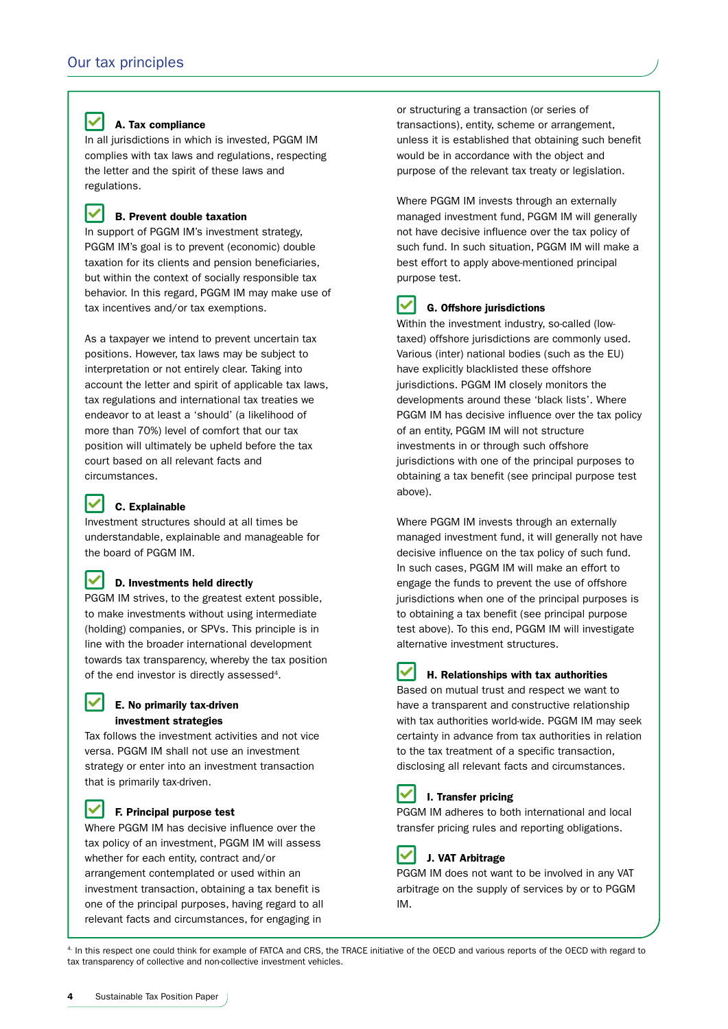#### lV A. Tax compliance

In all jurisdictions in which is invested, PGGM IM complies with tax laws and regulations, respecting the letter and the spirit of these laws and regulations.

#### V B. Prevent double taxation

In support of PGGM IM's investment strategy, PGGM IM's goal is to prevent (economic) double taxation for its clients and pension beneficiaries, but within the context of socially responsible tax behavior. In this regard, PGGM IM may make use of tax incentives and/or tax exemptions.

As a taxpayer we intend to prevent uncertain tax positions. However, tax laws may be subject to interpretation or not entirely clear. Taking into account the letter and spirit of applicable tax laws, tax regulations and international tax treaties we endeavor to at least a 'should' (a likelihood of more than 70%) level of comfort that our tax position will ultimately be upheld before the tax court based on all relevant facts and circumstances.

#### M C. Explainable

M

M

Investment structures should at all times be understandable, explainable and manageable for the board of PGGM IM.

### D. Investments held directly

PGGM IM strives, to the greatest extent possible, to make investments without using intermediate (holding) companies, or SPVs. This principle is in line with the broader international development towards tax transparency, whereby the tax position of the end investor is directly assessed<sup>4</sup>.

# E. No primarily tax-driven investment strategies

Tax follows the investment activities and not vice versa. PGGM IM shall not use an investment strategy or enter into an investment transaction that is primarily tax-driven.

# M

F. Principal purpose test

Where PGGM IM has decisive influence over the tax policy of an investment, PGGM IM will assess whether for each entity, contract and/or arrangement contemplated or used within an investment transaction, obtaining a tax benefit is one of the principal purposes, having regard to all relevant facts and circumstances, for engaging in

or structuring a transaction (or series of transactions), entity, scheme or arrangement, unless it is established that obtaining such benefit would be in accordance with the object and purpose of the relevant tax treaty or legislation.

Where PGGM IM invests through an externally managed investment fund, PGGM IM will generally not have decisive influence over the tax policy of such fund. In such situation, PGGM IM will make a best effort to apply above-mentioned principal purpose test.

#### Ⅳ G. Offshore jurisdictions

Within the investment industry, so-called (lowtaxed) offshore jurisdictions are commonly used. Various (inter) national bodies (such as the EU) have explicitly blacklisted these offshore jurisdictions. PGGM IM closely monitors the developments around these 'black lists'. Where PGGM IM has decisive influence over the tax policy of an entity, PGGM IM will not structure investments in or through such offshore jurisdictions with one of the principal purposes to obtaining a tax benefit (see principal purpose test above).

Where PGGM IM invests through an externally managed investment fund, it will generally not have decisive influence on the tax policy of such fund. In such cases, PGGM IM will make an effort to engage the funds to prevent the use of offshore jurisdictions when one of the principal purposes is to obtaining a tax benefit (see principal purpose test above). To this end, PGGM IM will investigate alternative investment structures.

### H. Relationships with tax authorities

Based on mutual trust and respect we want to have a transparent and constructive relationship with tax authorities world-wide. PGGM IM may seek certainty in advance from tax authorities in relation to the tax treatment of a specific transaction, disclosing all relevant facts and circumstances.

### I. Transfer pricing

PGGM IM adheres to both international and local transfer pricing rules and reporting obligations.



### J. VAT Arbitrage

PGGM IM does not want to be involved in any VAT arbitrage on the supply of services by or to PGGM IM.

4. In this respect one could think for example of FATCA and CRS, the TRACE initiative of the OECD and various reports of the OECD with regard to tax transparency of collective and non-collective investment vehicles.